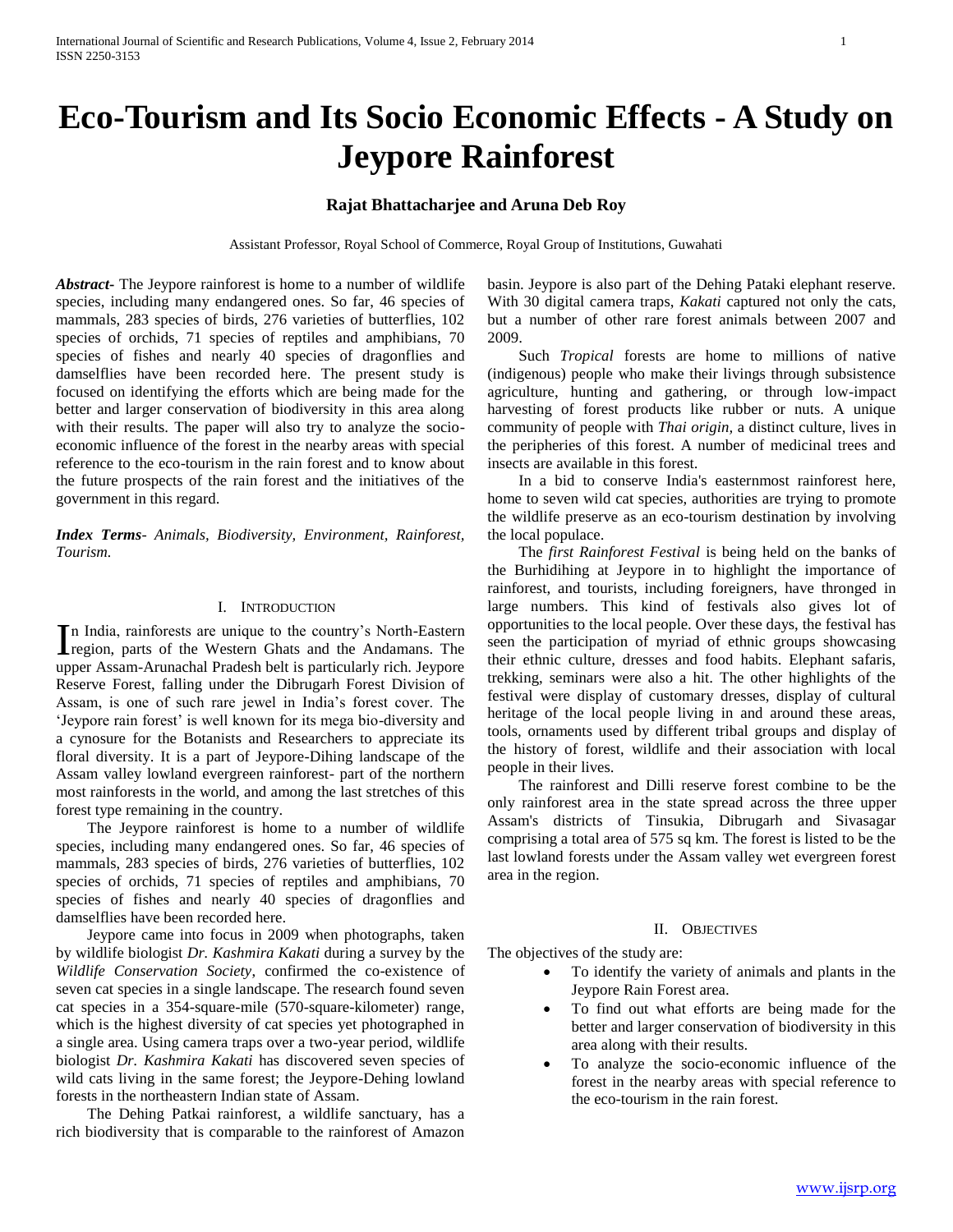# **Eco-Tourism and Its Socio Economic Effects - A Study on Jeypore Rainforest**

## **Rajat Bhattacharjee and Aruna Deb Roy**

Assistant Professor, Royal School of Commerce, Royal Group of Institutions, Guwahati

*Abstract***-** The Jeypore rainforest is home to a number of wildlife species, including many endangered ones. So far, 46 species of mammals, 283 species of birds, 276 varieties of butterflies, 102 species of orchids, 71 species of reptiles and amphibians, 70 species of fishes and nearly 40 species of dragonflies and damselflies have been recorded here. The present study is focused on identifying the efforts which are being made for the better and larger conservation of biodiversity in this area along with their results. The paper will also try to analyze the socioeconomic influence of the forest in the nearby areas with special reference to the eco-tourism in the rain forest and to know about the future prospects of the rain forest and the initiatives of the government in this regard.

*Index Terms*- *Animals, Biodiversity, Environment, Rainforest, Tourism.*

## I. INTRODUCTION

n India, rainforests are unique to the country's North-Eastern In India, rainforests are unique to the country's North-Eastern<br>Iregion, parts of the Western Ghats and the Andamans. The upper Assam-Arunachal Pradesh belt is particularly rich. Jeypore Reserve Forest, falling under the Dibrugarh Forest Division of Assam, is one of such rare jewel in India's forest cover. The 'Jeypore rain forest' is well known for its mega bio-diversity and a cynosure for the Botanists and Researchers to appreciate its floral diversity. It is a part of Jeypore-Dihing landscape of the Assam valley lowland evergreen rainforest- part of the northern most rainforests in the world, and among the last stretches of this forest type remaining in the country.

 The Jeypore rainforest is home to a number of wildlife species, including many endangered ones. So far, 46 species of mammals, 283 species of birds, 276 varieties of butterflies, 102 species of orchids, 71 species of reptiles and amphibians, 70 species of fishes and nearly 40 species of dragonflies and damselflies have been recorded here.

 Jeypore came into focus in 2009 when photographs, taken by wildlife biologist *Dr. Kashmira Kakati* during a survey by the *Wildlife Conservation Society*, confirmed the co-existence of seven cat species in a single landscape. The research found seven cat species in a 354-square-mile (570-square-kilometer) range, which is the highest diversity of cat species yet photographed in a single area. Using camera traps over a two-year period, wildlife biologist *Dr. Kashmira Kakati* has discovered seven species of wild cats living in the same forest; the Jeypore-Dehing lowland forests in the northeastern Indian state of Assam.

 The Dehing Patkai rainforest, a wildlife sanctuary, has a rich biodiversity that is comparable to the rainforest of Amazon basin. Jeypore is also part of the Dehing Pataki elephant reserve. With 30 digital camera traps, *Kakati* captured not only the cats, but a number of other rare forest animals between 2007 and 2009.

 Such *Tropical* forests are home to millions of native (indigenous) people who make their livings through subsistence agriculture, hunting and gathering, or through low-impact harvesting of forest products like rubber or nuts. A unique community of people with *Thai origin,* a distinct culture, lives in the peripheries of this forest. A number of medicinal trees and insects are available in this forest.

 In a bid to conserve India's easternmost rainforest here, home to seven wild cat species, authorities are trying to promote the wildlife preserve as an eco-tourism destination by involving the local populace.

 The *first Rainforest Festival* is being held on the banks of the Burhidihing at Jeypore in to highlight the importance of rainforest, and tourists, including foreigners, have thronged in large numbers. This kind of festivals also gives lot of opportunities to the local people. Over these days, the festival has seen the participation of myriad of ethnic groups showcasing their ethnic culture, dresses and food habits. Elephant safaris, trekking, seminars were also a hit. The other highlights of the festival were display of customary dresses, display of cultural heritage of the local people living in and around these areas, tools, ornaments used by different tribal groups and display of the history of forest, wildlife and their association with local people in their lives.

 The rainforest and Dilli reserve forest combine to be the only rainforest area in the state spread across the three upper Assam's districts of Tinsukia, Dibrugarh and Sivasagar comprising a total area of 575 sq km. The forest is listed to be the last lowland forests under the Assam valley wet evergreen forest area in the region.

#### II. OBJECTIVES

The objectives of the study are:

- To identify the variety of animals and plants in the Jeypore Rain Forest area.
- To find out what efforts are being made for the better and larger conservation of biodiversity in this area along with their results.
- To analyze the socio-economic influence of the forest in the nearby areas with special reference to the eco-tourism in the rain forest.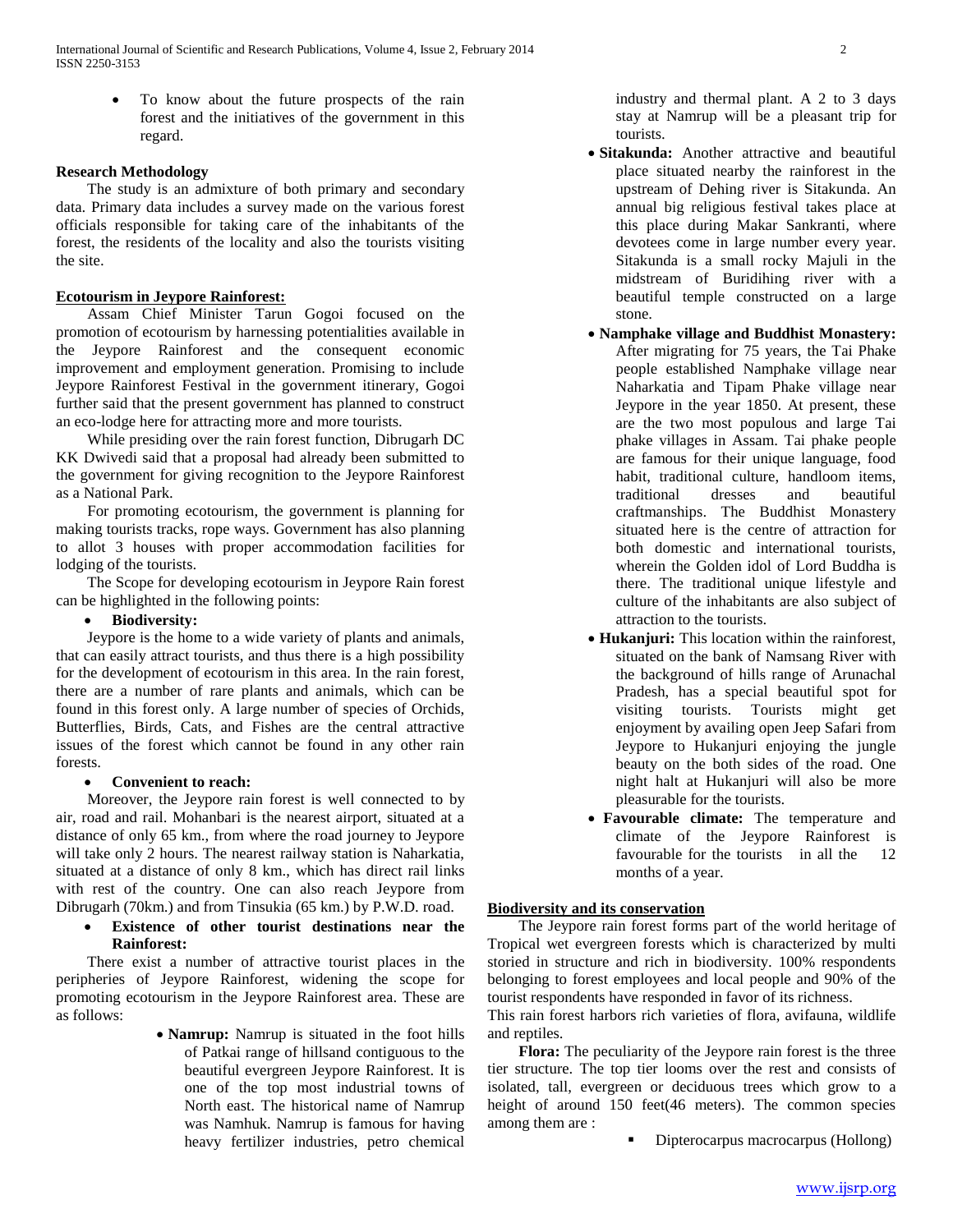To know about the future prospects of the rain forest and the initiatives of the government in this regard.

#### **Research Methodology**

 The study is an admixture of both primary and secondary data. Primary data includes a survey made on the various forest officials responsible for taking care of the inhabitants of the forest, the residents of the locality and also the tourists visiting the site.

## **Ecotourism in Jeypore Rainforest:**

 Assam Chief Minister Tarun Gogoi focused on the promotion of ecotourism by harnessing potentialities available in the Jeypore Rainforest and the consequent economic improvement and employment generation. Promising to include Jeypore Rainforest Festival in the government itinerary, Gogoi further said that the present government has planned to construct an eco-lodge here for attracting more and more tourists.

 While presiding over the rain forest function, Dibrugarh DC KK Dwivedi said that a proposal had already been submitted to the government for giving recognition to the Jeypore Rainforest as a National Park.

 For promoting ecotourism, the government is planning for making tourists tracks, rope ways. Government has also planning to allot 3 houses with proper accommodation facilities for lodging of the tourists.

 The Scope for developing ecotourism in Jeypore Rain forest can be highlighted in the following points:

## **Biodiversity:**

 Jeypore is the home to a wide variety of plants and animals, that can easily attract tourists, and thus there is a high possibility for the development of ecotourism in this area. In the rain forest, there are a number of rare plants and animals, which can be found in this forest only. A large number of species of Orchids, Butterflies, Birds, Cats, and Fishes are the central attractive issues of the forest which cannot be found in any other rain forests.

## **Convenient to reach:**

 Moreover, the Jeypore rain forest is well connected to by air, road and rail. Mohanbari is the nearest airport, situated at a distance of only 65 km., from where the road journey to Jeypore will take only 2 hours. The nearest railway station is Naharkatia, situated at a distance of only 8 km., which has direct rail links with rest of the country. One can also reach Jeypore from Dibrugarh (70km.) and from Tinsukia (65 km.) by P.W.D. road.

 **Existence of other tourist destinations near the Rainforest:**

 There exist a number of attractive tourist places in the peripheries of Jeypore Rainforest, widening the scope for promoting ecotourism in the Jeypore Rainforest area. These are as follows:

> **Namrup:** Namrup is situated in the foot hills of Patkai range of hillsand contiguous to the beautiful evergreen Jeypore Rainforest. It is one of the top most industrial towns of North east. The historical name of Namrup was Namhuk. Namrup is famous for having heavy fertilizer industries, petro chemical

industry and thermal plant. A 2 to 3 days stay at Namrup will be a pleasant trip for tourists.

- **Sitakunda:** Another attractive and beautiful place situated nearby the rainforest in the upstream of Dehing river is Sitakunda. An annual big religious festival takes place at this place during Makar Sankranti, where devotees come in large number every year. Sitakunda is a small rocky Majuli in the midstream of Buridihing river with a beautiful temple constructed on a large stone.
- **Namphake village and Buddhist Monastery:** After migrating for 75 years, the Tai Phake people established Namphake village near Naharkatia and Tipam Phake village near Jeypore in the year 1850. At present, these are the two most populous and large Tai phake villages in Assam. Tai phake people are famous for their unique language, food habit, traditional culture, handloom items, traditional dresses and beautiful craftmanships. The Buddhist Monastery situated here is the centre of attraction for both domestic and international tourists, wherein the Golden idol of Lord Buddha is there. The traditional unique lifestyle and culture of the inhabitants are also subject of attraction to the tourists.
- **Hukanjuri:** This location within the rainforest, situated on the bank of Namsang River with the background of hills range of Arunachal Pradesh, has a special beautiful spot for visiting tourists. Tourists might get enjoyment by availing open Jeep Safari from Jeypore to Hukanjuri enjoying the jungle beauty on the both sides of the road. One night halt at Hukanjuri will also be more pleasurable for the tourists.
- **Favourable climate:** The temperature and climate of the Jeypore Rainforest is favourable for the tourists in all the 12 months of a year.

# **Biodiversity and its conservation**

 The Jeypore rain forest forms part of the world heritage of Tropical wet evergreen forests which is characterized by multi storied in structure and rich in biodiversity. 100% respondents belonging to forest employees and local people and 90% of the tourist respondents have responded in favor of its richness.

This rain forest harbors rich varieties of flora, avifauna, wildlife and reptiles.

 **Flora:** The peculiarity of the Jeypore rain forest is the three tier structure. The top tier looms over the rest and consists of isolated, tall, evergreen or deciduous trees which grow to a height of around 150 feet(46 meters). The common species among them are :

Dipterocarpus macrocarpus (Hollong)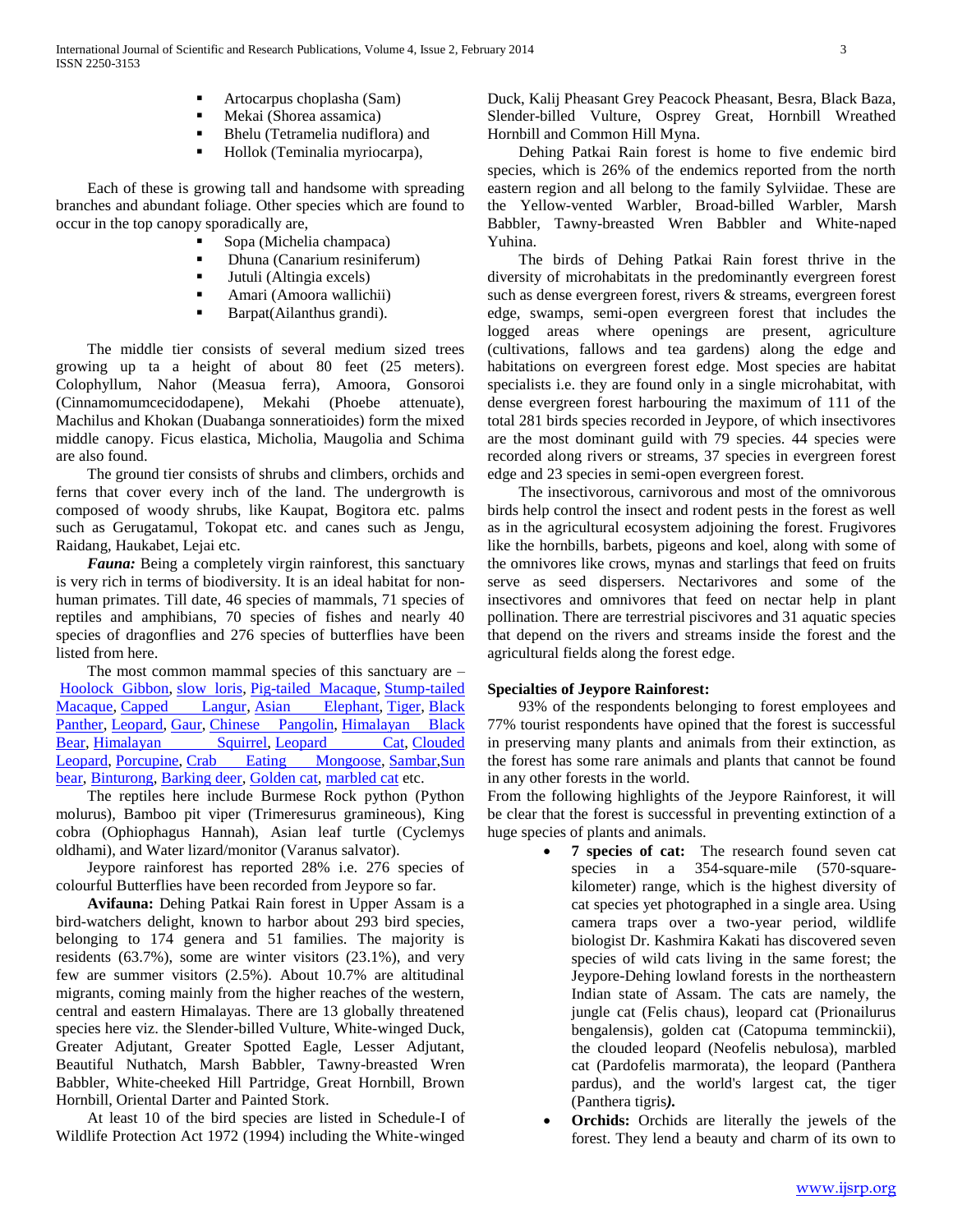- Artocarpus choplasha (Sam)
- Mekai (Shorea assamica)
- Bhelu (Tetramelia nudiflora) and
- Hollok (Teminalia myriocarpa),

 Each of these is growing tall and handsome with spreading branches and abundant foliage. Other species which are found to occur in the top canopy sporadically are,

- Sopa (Michelia champaca)
- Dhuna (Canarium resiniferum)
- Jutuli (Altingia excels)
- Amari (Amoora wallichii)
- **Barpat**(Ailanthus grandi).

 The middle tier consists of several medium sized trees growing up ta a height of about 80 feet (25 meters). Colophyllum, Nahor (Measua ferra), Amoora, Gonsoroi (Cinnamomumcecidodapene), Mekahi (Phoebe attenuate), Machilus and Khokan (Duabanga sonneratioides) form the mixed middle canopy. Ficus elastica, Micholia, Maugolia and Schima are also found.

 The ground tier consists of shrubs and climbers, orchids and ferns that cover every inch of the land. The undergrowth is composed of woody shrubs, like Kaupat, Bogitora etc. palms such as Gerugatamul, Tokopat etc. and canes such as Jengu, Raidang, Haukabet, Lejai etc.

 *Fauna:* Being a completely virgin rainforest, this sanctuary is very rich in terms of biodiversity. It is an ideal habitat for nonhuman primates. Till date, 46 species of mammals, 71 species of reptiles and amphibians, 70 species of fishes and nearly 40 species of dragonflies and 276 species of butterflies have been listed from here.

 The most common mammal species of this sanctuary are – [Hoolock Gibbon,](http://en.wikipedia.org/wiki/Hoolock_Gibbon) [slow loris,](http://en.wikipedia.org/wiki/Slow_loris) [Pig-tailed Macaque,](http://en.wikipedia.org/wiki/Pig-tailed_Macaque) [Stump-tailed](http://en.wikipedia.org/wiki/Stump-tailed_Macaque)  [Macaque,](http://en.wikipedia.org/wiki/Stump-tailed_Macaque) [Capped Langur,](http://en.wikipedia.org/wiki/Capped_Langur) [Asian Elephant,](http://en.wikipedia.org/wiki/Asian_Elephant) [Tiger,](http://en.wikipedia.org/wiki/Tiger) Black [Panther,](http://en.wikipedia.org/wiki/Black_Panther) [Leopard,](http://en.wikipedia.org/wiki/Leopard) [Gaur,](http://en.wikipedia.org/wiki/Gaur) [Chinese Pangolin,](http://en.wikipedia.org/wiki/Chinese_Pangolin) Himalayan Black [Bear,](http://en.wikipedia.org/wiki/Himalayan_Black_Bear) [Himalayan Squirrel,](http://en.wikipedia.org/w/index.php?title=Himalayan_Squirrel&action=edit&redlink=1) [Leopard Cat,](http://en.wikipedia.org/wiki/Leopard_Cat) Clouded [Leopard,](http://en.wikipedia.org/wiki/Clouded_Leopard) [Porcupine,](http://en.wikipedia.org/wiki/Porcupine) [Crab Eating Mongoose,](http://en.wikipedia.org/w/index.php?title=Crab_Eating_Mongoose&action=edit&redlink=1) [Sambar,](http://en.wikipedia.org/wiki/Sambar)[Sun](http://en.wikipedia.org/wiki/Sun_bear)  [bear,](http://en.wikipedia.org/wiki/Sun_bear) [Binturong,](http://en.wikipedia.org/wiki/Binturong) [Barking deer,](http://en.wikipedia.org/wiki/Barking_deer) [Golden cat,](http://en.wikipedia.org/wiki/Golden_cat) [marbled cat](http://en.wikipedia.org/wiki/Marbled_cat) etc.

 The reptiles here include Burmese Rock python (Python molurus), Bamboo pit viper (Trimeresurus gramineous), King cobra (Ophiophagus Hannah), Asian leaf turtle (Cyclemys oldhami), and Water lizard/monitor (Varanus salvator).

 Jeypore rainforest has reported 28% i.e. 276 species of colourful Butterflies have been recorded from Jeypore so far.

 **Avifauna:** Dehing Patkai Rain forest in Upper Assam is a bird-watchers delight, known to harbor about 293 bird species, belonging to 174 genera and 51 families. The majority is residents (63.7%), some are winter visitors (23.1%), and very few are summer visitors (2.5%). About 10.7% are altitudinal migrants, coming mainly from the higher reaches of the western, central and eastern Himalayas. There are 13 globally threatened species here viz. the Slender-billed Vulture, White-winged Duck, Greater Adjutant, Greater Spotted Eagle, Lesser Adjutant, Beautiful Nuthatch, Marsh Babbler, Tawny-breasted Wren Babbler, White-cheeked Hill Partridge, Great Hornbill, Brown Hornbill, Oriental Darter and Painted Stork.

 At least 10 of the bird species are listed in Schedule-I of Wildlife Protection Act 1972 (1994) including the White-winged

Duck, Kalij Pheasant Grey Peacock Pheasant, Besra, Black Baza, Slender-billed Vulture, Osprey Great, Hornbill Wreathed Hornbill and Common Hill Myna.

 Dehing Patkai Rain forest is home to five endemic bird species, which is 26% of the endemics reported from the north eastern region and all belong to the family Sylviidae. These are the Yellow-vented Warbler, Broad-billed Warbler, Marsh Babbler, Tawny-breasted Wren Babbler and White-naped Yuhina.

 The birds of Dehing Patkai Rain forest thrive in the diversity of microhabitats in the predominantly evergreen forest such as dense evergreen forest, rivers & streams, evergreen forest edge, swamps, semi-open evergreen forest that includes the logged areas where openings are present, agriculture (cultivations, fallows and tea gardens) along the edge and habitations on evergreen forest edge. Most species are habitat specialists i.e. they are found only in a single microhabitat, with dense evergreen forest harbouring the maximum of 111 of the total 281 birds species recorded in Jeypore, of which insectivores are the most dominant guild with 79 species. 44 species were recorded along rivers or streams, 37 species in evergreen forest edge and 23 species in semi-open evergreen forest.

 The insectivorous, carnivorous and most of the omnivorous birds help control the insect and rodent pests in the forest as well as in the agricultural ecosystem adjoining the forest. Frugivores like the hornbills, barbets, pigeons and koel, along with some of the omnivores like crows, mynas and starlings that feed on fruits serve as seed dispersers. Nectarivores and some of the insectivores and omnivores that feed on nectar help in plant pollination. There are terrestrial piscivores and 31 aquatic species that depend on the rivers and streams inside the forest and the agricultural fields along the forest edge.

# **Specialties of Jeypore Rainforest:**

 93% of the respondents belonging to forest employees and 77% tourist respondents have opined that the forest is successful in preserving many plants and animals from their extinction, as the forest has some rare animals and plants that cannot be found in any other forests in the world.

From the following highlights of the Jeypore Rainforest, it will be clear that the forest is successful in preventing extinction of a huge species of plants and animals.

- **7 species of cat:** The research found seven cat species in a 354-square-mile (570-squarekilometer) range, which is the highest diversity of cat species yet photographed in a single area. Using camera traps over a two-year period, wildlife biologist Dr. Kashmira Kakati has discovered seven species of wild cats living in the same forest; the Jeypore-Dehing lowland forests in the northeastern Indian state of Assam. The cats are namely, the jungle cat (Felis chaus), leopard cat (Prionailurus bengalensis), golden cat (Catopuma temminckii), the clouded leopard (Neofelis nebulosa), marbled cat (Pardofelis marmorata), the leopard (Panthera pardus), and the world's largest cat, the tiger (Panthera tigris*).*
- **Orchids:** Orchids are literally the jewels of the forest. They lend a beauty and charm of its own to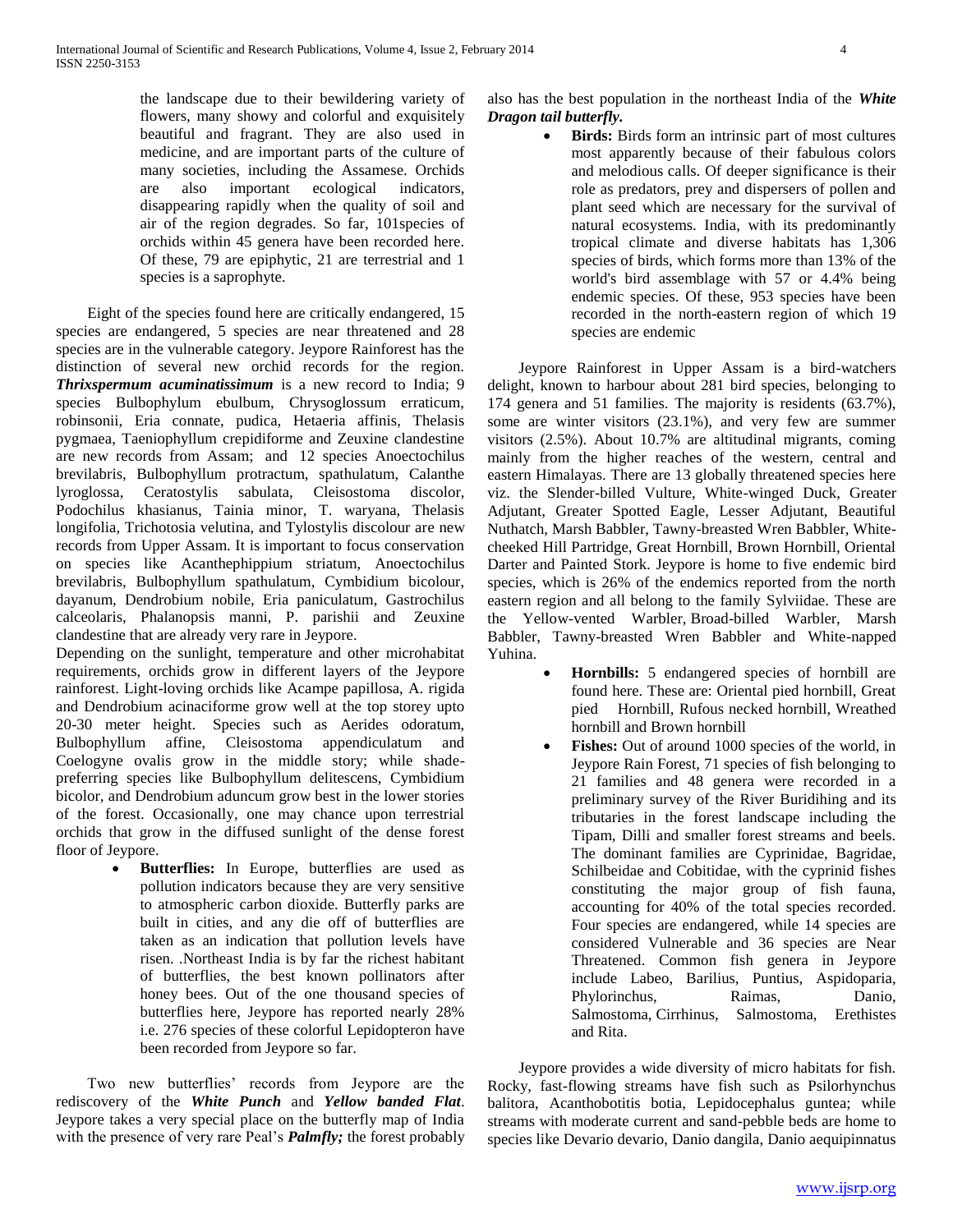the landscape due to their bewildering variety of flowers, many showy and colorful and exquisitely beautiful and fragrant. They are also used in medicine, and are important parts of the culture of many societies, including the Assamese. Orchids are also important ecological indicators, disappearing rapidly when the quality of soil and air of the region degrades. So far, 101species of orchids within 45 genera have been recorded here. Of these, 79 are epiphytic, 21 are terrestrial and 1 species is a saprophyte.

 Eight of the species found here are critically endangered, 15 species are endangered, 5 species are near threatened and 28 species are in the vulnerable category. Jeypore Rainforest has the distinction of several new orchid records for the region. *Thrixspermum acuminatissimum* is a new record to India; 9 species Bulbophylum ebulbum, Chrysoglossum erraticum, robinsonii, Eria connate, pudica, Hetaeria affinis, Thelasis pygmaea, Taeniophyllum crepidiforme and Zeuxine clandestine are new records from Assam; and 12 species Anoectochilus brevilabris, Bulbophyllum protractum, spathulatum, Calanthe lyroglossa, Ceratostylis sabulata, Cleisostoma discolor, Podochilus khasianus, Tainia minor, T. waryana, Thelasis longifolia, Trichotosia velutina, and Tylostylis discolour are new records from Upper Assam. It is important to focus conservation on species like Acanthephippium striatum, Anoectochilus brevilabris, Bulbophyllum spathulatum, Cymbidium bicolour, dayanum, Dendrobium nobile, Eria paniculatum, Gastrochilus calceolaris, Phalanopsis manni, P. parishii and Zeuxine clandestine that are already very rare in Jeypore.

Depending on the sunlight, temperature and other microhabitat requirements, orchids grow in different layers of the Jeypore rainforest. Light-loving orchids like Acampe papillosa, A. rigida and Dendrobium acinaciforme grow well at the top storey upto 20-30 meter height. Species such as Aerides odoratum, Bulbophyllum affine, Cleisostoma appendiculatum and Coelogyne ovalis grow in the middle story; while shadepreferring species like Bulbophyllum delitescens, Cymbidium bicolor, and Dendrobium aduncum grow best in the lower stories of the forest. Occasionally, one may chance upon terrestrial orchids that grow in the diffused sunlight of the dense forest floor of Jeypore.

> **Butterflies:** In Europe, butterflies are used as pollution indicators because they are very sensitive to atmospheric carbon dioxide. Butterfly parks are built in cities, and any die off of butterflies are taken as an indication that pollution levels have risen. .Northeast India is by far the richest habitant of butterflies, the best known pollinators after honey bees. Out of the one thousand species of butterflies here, Jeypore has reported nearly 28% i.e. 276 species of these colorful Lepidopteron have been recorded from Jeypore so far.

 Two new butterflies' records from Jeypore are the rediscovery of the *White Punch* and *Yellow banded Flat*. Jeypore takes a very special place on the butterfly map of India with the presence of very rare Peal's *Palmfly;* the forest probably also has the best population in the northeast India of the *White Dragon tail butterfly.*

 **Birds:** Birds form an intrinsic part of most cultures most apparently because of their fabulous colors and melodious calls. Of deeper significance is their role as predators, prey and dispersers of pollen and plant seed which are necessary for the survival of natural ecosystems. India, with its predominantly tropical climate and diverse habitats has 1,306 species of birds, which forms more than 13% of the world's bird assemblage with 57 or 4.4% being endemic species. Of these, 953 species have been recorded in the north-eastern region of which 19 species are endemic

 Jeypore Rainforest in Upper Assam is a bird-watchers delight, known to harbour about 281 bird species, belonging to 174 genera and 51 families. The majority is residents (63.7%), some are winter visitors (23.1%), and very few are summer visitors (2.5%). About 10.7% are altitudinal migrants, coming mainly from the higher reaches of the western, central and eastern Himalayas. There are 13 globally threatened species here viz. the Slender-billed Vulture, White-winged Duck, Greater Adjutant, Greater Spotted Eagle, Lesser Adjutant, Beautiful Nuthatch, Marsh Babbler, Tawny-breasted Wren Babbler, Whitecheeked Hill Partridge, Great Hornbill, Brown Hornbill, Oriental Darter and Painted Stork. Jeypore is home to five endemic bird species, which is 26% of the endemics reported from the north eastern region and all belong to the family Sylviidae. These are the Yellow-vented Warbler, Broad-billed Warbler, Marsh Babbler, Tawny-breasted Wren Babbler and White-napped Yuhina.

- **Hornbills:** 5 endangered species of hornbill are found here. These are: Oriental pied hornbill, Great pied Hornbill, Rufous necked hornbill, Wreathed hornbill and Brown hornbill
- Fishes: Out of around 1000 species of the world, in Jeypore Rain Forest, 71 species of fish belonging to 21 families and 48 genera were recorded in a preliminary survey of the River Buridihing and its tributaries in the forest landscape including the Tipam, Dilli and smaller forest streams and beels. The dominant families are Cyprinidae, Bagridae, Schilbeidae and Cobitidae, with the cyprinid fishes constituting the major group of fish fauna, accounting for 40% of the total species recorded. Four species are endangered, while 14 species are considered Vulnerable and 36 species are Near Threatened. Common fish genera in Jeypore include Labeo, Barilius, Puntius, Aspidoparia, Phylorinchus, Raimas, Danio, Salmostoma, Cirrhinus, Salmostoma, Erethistes and Rita.

 Jeypore provides a wide diversity of micro habitats for fish. Rocky, fast-flowing streams have fish such as Psilorhynchus balitora, Acanthobotitis botia, Lepidocephalus guntea; while streams with moderate current and sand-pebble beds are home to species like Devario devario, Danio dangila, Danio aequipinnatus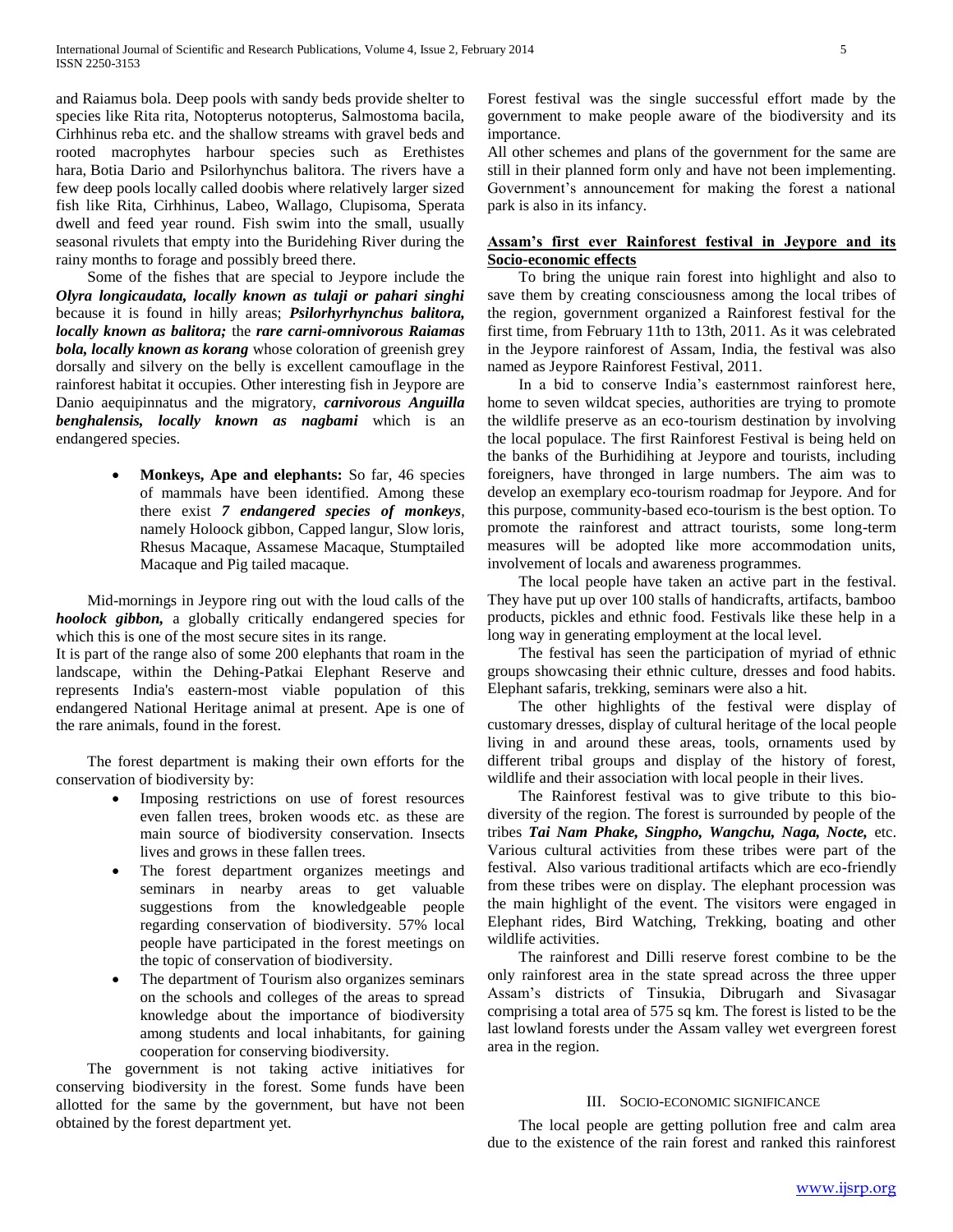and Raiamus bola. Deep pools with sandy beds provide shelter to species like Rita rita, Notopterus notopterus, Salmostoma bacila, Cirhhinus reba etc. and the shallow streams with gravel beds and rooted macrophytes harbour species such as Erethistes hara, Botia Dario and Psilorhynchus balitora. The rivers have a few deep pools locally called doobis where relatively larger sized fish like Rita, Cirhhinus, Labeo, Wallago, Clupisoma, Sperata dwell and feed year round. Fish swim into the small, usually seasonal rivulets that empty into the Buridehing River during the rainy months to forage and possibly breed there.

 Some of the fishes that are special to Jeypore include the *Olyra longicaudata, locally known as tulaji or pahari singhi* because it is found in hilly areas; *Psilorhyrhynchus balitora, locally known as balitora;* the *rare carni-omnivorous Raiamas bola, locally known as korang* whose coloration of greenish grey dorsally and silvery on the belly is excellent camouflage in the rainforest habitat it occupies. Other interesting fish in Jeypore are Danio aequipinnatus and the migratory, *carnivorous Anguilla benghalensis, locally known as nagbami* which is an endangered species.

> **Monkeys, Ape and elephants:** So far, 46 species of mammals have been identified. Among these there exist *7 endangered species of monkeys*, namely Holoock gibbon, Capped langur, Slow loris, Rhesus Macaque, Assamese Macaque, Stumptailed Macaque and Pig tailed macaque.

 Mid-mornings in Jeypore ring out with the loud calls of the *hoolock gibbon,* a globally critically endangered species for which this is one of the most secure sites in its range.

It is part of the range also of some 200 elephants that roam in the landscape, within the Dehing-Patkai Elephant Reserve and represents India's eastern-most viable population of this endangered National Heritage animal at present. Ape is one of the rare animals, found in the forest.

 The forest department is making their own efforts for the conservation of biodiversity by:

- Imposing restrictions on use of forest resources even fallen trees, broken woods etc. as these are main source of biodiversity conservation. Insects lives and grows in these fallen trees.
- The forest department organizes meetings and seminars in nearby areas to get valuable suggestions from the knowledgeable people regarding conservation of biodiversity. 57% local people have participated in the forest meetings on the topic of conservation of biodiversity.
- The department of Tourism also organizes seminars on the schools and colleges of the areas to spread knowledge about the importance of biodiversity among students and local inhabitants, for gaining cooperation for conserving biodiversity.

 The government is not taking active initiatives for conserving biodiversity in the forest. Some funds have been allotted for the same by the government, but have not been obtained by the forest department yet.

Forest festival was the single successful effort made by the government to make people aware of the biodiversity and its importance.

All other schemes and plans of the government for the same are still in their planned form only and have not been implementing. Government's announcement for making the forest a national park is also in its infancy.

## **Assam's first ever Rainforest festival in Jeypore and its Socio-economic effects**

 To bring the unique rain forest into highlight and also to save them by creating consciousness among the local tribes of the region, government organized a Rainforest festival for the first time, from February 11th to 13th, 2011. As it was celebrated in the Jeypore rainforest of Assam, India, the festival was also named as Jeypore Rainforest Festival, 2011.

 In a bid to conserve India's easternmost rainforest here, home to seven wildcat species, authorities are trying to promote the wildlife preserve as an eco-tourism destination by involving the local populace. The first Rainforest Festival is being held on the banks of the Burhidihing at Jeypore and tourists, including foreigners, have thronged in large numbers. The aim was to develop an exemplary eco-tourism roadmap for Jeypore. And for this purpose, community-based eco-tourism is the best option. To promote the rainforest and attract tourists, some long-term measures will be adopted like more accommodation units, involvement of locals and awareness programmes.

 The local people have taken an active part in the festival. They have put up over 100 stalls of handicrafts, artifacts, bamboo products, pickles and ethnic food. Festivals like these help in a long way in generating employment at the local level.

 The festival has seen the participation of myriad of ethnic groups showcasing their ethnic culture, dresses and food habits. Elephant safaris, trekking, seminars were also a hit.

 The other highlights of the festival were display of customary dresses, display of cultural heritage of the local people living in and around these areas, tools, ornaments used by different tribal groups and display of the history of forest, wildlife and their association with local people in their lives.

 The Rainforest festival was to give tribute to this biodiversity of the region. The forest is surrounded by people of the tribes *Tai Nam Phake, Singpho, Wangchu, Naga, Nocte,* etc. Various cultural activities from these tribes were part of the festival. Also various traditional artifacts which are eco-friendly from these tribes were on display. The elephant procession was the main highlight of the event. The visitors were engaged in Elephant rides, Bird Watching, Trekking, boating and other wildlife activities.

 The rainforest and Dilli reserve forest combine to be the only rainforest area in the state spread across the three upper Assam's districts of Tinsukia, Dibrugarh and Sivasagar comprising a total area of 575 sq km. The forest is listed to be the last lowland forests under the Assam valley wet evergreen forest area in the region.

## III. SOCIO-ECONOMIC SIGNIFICANCE

 The local people are getting pollution free and calm area due to the existence of the rain forest and ranked this rainforest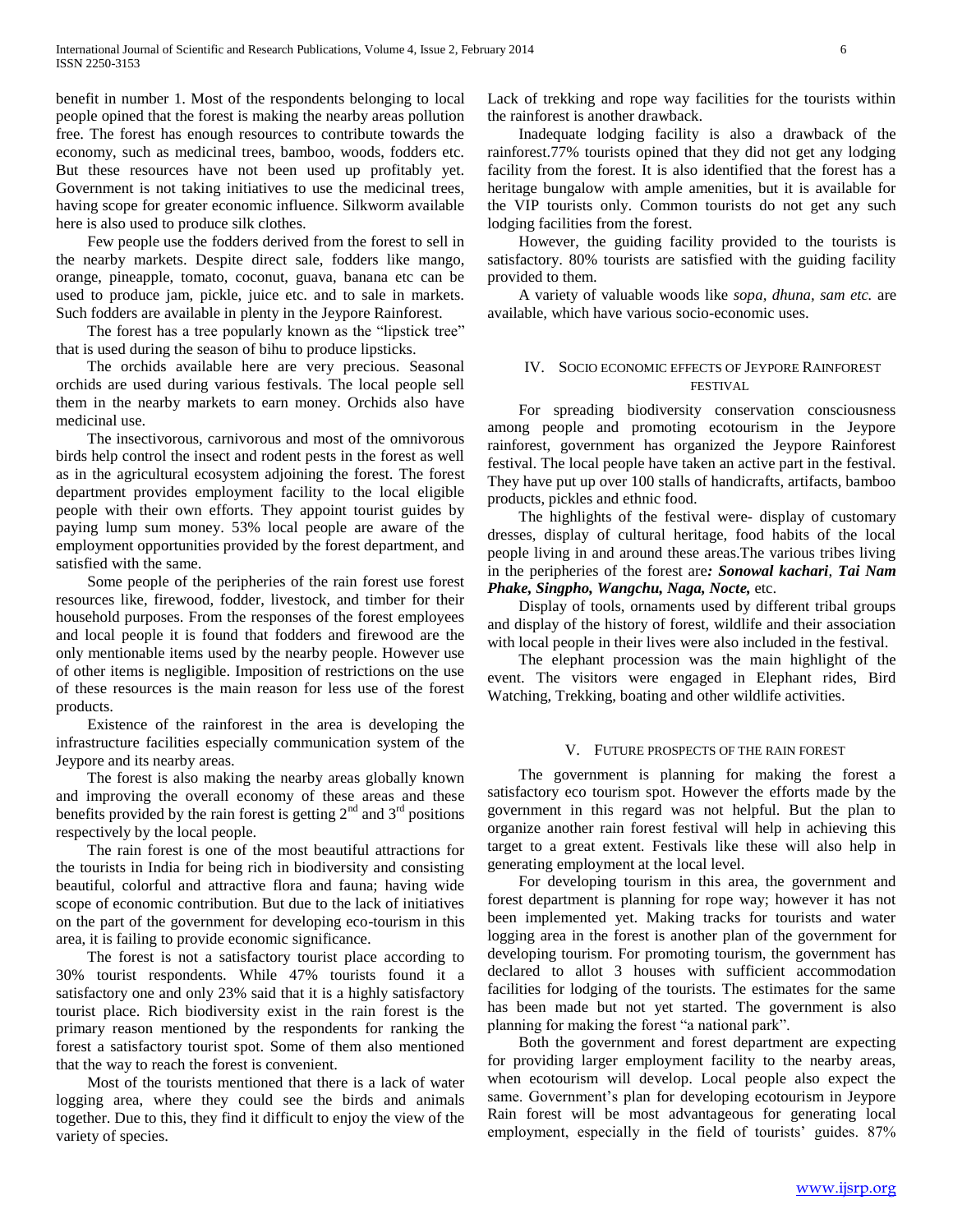benefit in number 1. Most of the respondents belonging to local people opined that the forest is making the nearby areas pollution free. The forest has enough resources to contribute towards the economy, such as medicinal trees, bamboo, woods, fodders etc. But these resources have not been used up profitably yet. Government is not taking initiatives to use the medicinal trees, having scope for greater economic influence. Silkworm available here is also used to produce silk clothes.

 Few people use the fodders derived from the forest to sell in the nearby markets. Despite direct sale, fodders like mango, orange, pineapple, tomato, coconut, guava, banana etc can be used to produce jam, pickle, juice etc. and to sale in markets. Such fodders are available in plenty in the Jeypore Rainforest.

 The forest has a tree popularly known as the "lipstick tree" that is used during the season of bihu to produce lipsticks.

 The orchids available here are very precious. Seasonal orchids are used during various festivals. The local people sell them in the nearby markets to earn money. Orchids also have medicinal use.

 The insectivorous, carnivorous and most of the omnivorous birds help control the insect and rodent pests in the forest as well as in the agricultural ecosystem adjoining the forest. The forest department provides employment facility to the local eligible people with their own efforts. They appoint tourist guides by paying lump sum money. 53% local people are aware of the employment opportunities provided by the forest department, and satisfied with the same.

 Some people of the peripheries of the rain forest use forest resources like, firewood, fodder, livestock, and timber for their household purposes. From the responses of the forest employees and local people it is found that fodders and firewood are the only mentionable items used by the nearby people. However use of other items is negligible. Imposition of restrictions on the use of these resources is the main reason for less use of the forest products.

 Existence of the rainforest in the area is developing the infrastructure facilities especially communication system of the Jeypore and its nearby areas.

 The forest is also making the nearby areas globally known and improving the overall economy of these areas and these benefits provided by the rain forest is getting  $2<sup>nd</sup>$  and  $3<sup>rd</sup>$  positions respectively by the local people.

 The rain forest is one of the most beautiful attractions for the tourists in India for being rich in biodiversity and consisting beautiful, colorful and attractive flora and fauna; having wide scope of economic contribution. But due to the lack of initiatives on the part of the government for developing eco-tourism in this area, it is failing to provide economic significance.

 The forest is not a satisfactory tourist place according to 30% tourist respondents. While 47% tourists found it a satisfactory one and only 23% said that it is a highly satisfactory tourist place. Rich biodiversity exist in the rain forest is the primary reason mentioned by the respondents for ranking the forest a satisfactory tourist spot. Some of them also mentioned that the way to reach the forest is convenient.

 Most of the tourists mentioned that there is a lack of water logging area, where they could see the birds and animals together. Due to this, they find it difficult to enjoy the view of the variety of species.

Lack of trekking and rope way facilities for the tourists within the rainforest is another drawback.

 Inadequate lodging facility is also a drawback of the rainforest.77% tourists opined that they did not get any lodging facility from the forest. It is also identified that the forest has a heritage bungalow with ample amenities, but it is available for the VIP tourists only. Common tourists do not get any such lodging facilities from the forest.

 However, the guiding facility provided to the tourists is satisfactory. 80% tourists are satisfied with the guiding facility provided to them.

 A variety of valuable woods like *sopa, dhuna, sam etc.* are available*,* which have various socio-economic uses.

## IV. SOCIO ECONOMIC EFFECTS OF JEYPORE RAINFOREST FESTIVAL

 For spreading biodiversity conservation consciousness among people and promoting ecotourism in the Jeypore rainforest, government has organized the Jeypore Rainforest festival. The local people have taken an active part in the festival. They have put up over 100 stalls of handicrafts, artifacts, bamboo products, pickles and ethnic food.

 The highlights of the festival were- display of customary dresses, display of cultural heritage, food habits of the local people living in and around these areas.The various tribes living in the peripheries of the forest are*: Sonowal kachari*, *Tai Nam Phake, Singpho, Wangchu, Naga, Nocte,* etc.

 Display of tools, ornaments used by different tribal groups and display of the history of forest, wildlife and their association with local people in their lives were also included in the festival.

 The elephant procession was the main highlight of the event. The visitors were engaged in Elephant rides, Bird Watching, Trekking, boating and other wildlife activities.

## V. FUTURE PROSPECTS OF THE RAIN FOREST

 The government is planning for making the forest a satisfactory eco tourism spot. However the efforts made by the government in this regard was not helpful. But the plan to organize another rain forest festival will help in achieving this target to a great extent. Festivals like these will also help in generating employment at the local level.

 For developing tourism in this area, the government and forest department is planning for rope way; however it has not been implemented yet. Making tracks for tourists and water logging area in the forest is another plan of the government for developing tourism. For promoting tourism, the government has declared to allot 3 houses with sufficient accommodation facilities for lodging of the tourists. The estimates for the same has been made but not yet started. The government is also planning for making the forest "a national park".

 Both the government and forest department are expecting for providing larger employment facility to the nearby areas, when ecotourism will develop. Local people also expect the same. Government's plan for developing ecotourism in Jeypore Rain forest will be most advantageous for generating local employment, especially in the field of tourists' guides. 87%